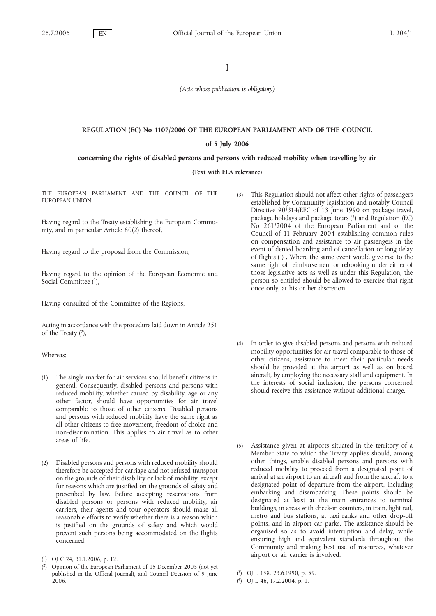# I

*(Acts whose publication is obligatory)*

# **REGULATION (EC) No 1107/2006 OF THE EUROPEAN PARLIAMENT AND OF THE COUNCIL**

# **of 5 July 2006**

# **concerning the rights of disabled persons and persons with reduced mobility when travelling by air**

# **(Text with EEA relevance)**

THE EUROPEAN PARLIAMENT AND THE COUNCIL OF THE EUROPEAN UNION,

Having regard to the Treaty establishing the European Community, and in particular Article 80(2) thereof,

Having regard to the proposal from the Commission,

Having regard to the opinion of the European Economic and Social Committee  $(1)$ ,

Having consulted of the Committee of the Regions,

Acting in accordance with the procedure laid down in Article 251 of the Treaty  $(2)$ ,

## Whereas:

- (1) The single market for air services should benefit citizens in general. Consequently, disabled persons and persons with reduced mobility, whether caused by disability, age or any other factor, should have opportunities for air travel comparable to those of other citizens. Disabled persons and persons with reduced mobility have the same right as all other citizens to free movement, freedom of choice and non-discrimination. This applies to air travel as to other areas of life.
- (2) Disabled persons and persons with reduced mobility should therefore be accepted for carriage and not refused transport on the grounds of their disability or lack of mobility, except for reasons which are justified on the grounds of safety and prescribed by law. Before accepting reservations from disabled persons or persons with reduced mobility, air carriers, their agents and tour operators should make all reasonable efforts to verify whether there is a reason which is justified on the grounds of safety and which would prevent such persons being accommodated on the flights concerned.
- This Regulation should not affect other rights of passengers established by Community legislation and notably Council Directive 90/314/EEC of 13 June 1990 on package travel, package holidays and package tours  $(3)$  and Regulation (EC) No 261/2004 of the European Parliament and of the Council of 11 February 2004 establishing common rules on compensation and assistance to air passengers in the event of denied boarding and of cancellation or long delay of flights (4) **.** Where the same event would give rise to the same right of reimbursement or rebooking under either of those legislative acts as well as under this Regulation, the person so entitled should be allowed to exercise that right once only, at his or her discretion.
- (4) In order to give disabled persons and persons with reduced mobility opportunities for air travel comparable to those of other citizens, assistance to meet their particular needs should be provided at the airport as well as on board aircraft, by employing the necessary staff and equipment. In the interests of social inclusion, the persons concerned should receive this assistance without additional charge.
- (5) Assistance given at airports situated in the territory of a Member State to which the Treaty applies should, among other things, enable disabled persons and persons with reduced mobility to proceed from a designated point of arrival at an airport to an aircraft and from the aircraft to a designated point of departure from the airport, including embarking and disembarking. These points should be designated at least at the main entrances to terminal buildings, in areas with check-in counters, in train, light rail, metro and bus stations, at taxi ranks and other drop-off points, and in airport car parks. The assistance should be organised so as to avoid interruption and delay, while ensuring high and equivalent standards throughout the Community and making best use of resources, whatever airport or air carrier is involved.

<sup>(</sup> 1) OJ C 24, 31.1.2006, p. 12.

<sup>(</sup> 2) Opinion of the European Parliament of 15 December 2005 (not yet published in the Official Journal), and Council Decision of 9 June 2006.

<sup>(</sup> 3) OJ L 158, 23.6.1990, p. 59.

<sup>(</sup> 4) OJ L 46, 17.2.2004, p. 1.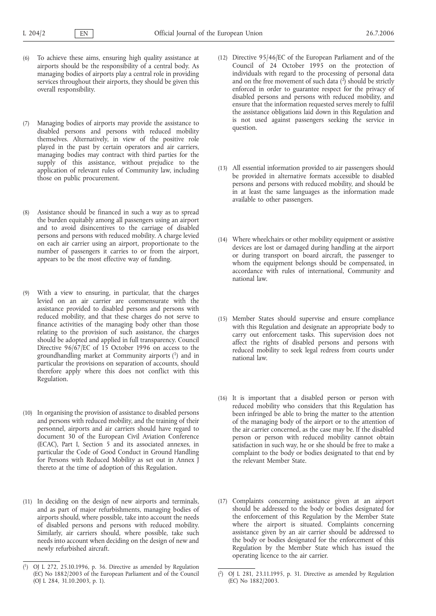- (6) To achieve these aims, ensuring high quality assistance at airports should be the responsibility of a central body. As managing bodies of airports play a central role in providing services throughout their airports, they should be given this overall responsibility.
- (7) Managing bodies of airports may provide the assistance to disabled persons and persons with reduced mobility themselves. Alternatively, in view of the positive role played in the past by certain operators and air carriers, managing bodies may contract with third parties for the supply of this assistance, without prejudice to the application of relevant rules of Community law, including those on public procurement.
- (8) Assistance should be financed in such a way as to spread the burden equitably among all passengers using an airport and to avoid disincentives to the carriage of disabled persons and persons with reduced mobility. A charge levied on each air carrier using an airport, proportionate to the number of passengers it carries to or from the airport, appears to be the most effective way of funding.
- With a view to ensuring, in particular, that the charges levied on an air carrier are commensurate with the assistance provided to disabled persons and persons with reduced mobility, and that these charges do not serve to finance activities of the managing body other than those relating to the provision of such assistance, the charges should be adopted and applied in full transparency. Council Directive  $96/67/EC$  of  $15$  October 1996 on access to the groundhandling market at Community airports (1) and in particular the provisions on separation of accounts, should therefore apply where this does not conflict with this Regulation.
- (10) In organising the provision of assistance to disabled persons and persons with reduced mobility, and the training of their personnel, airports and air carriers should have regard to document 30 of the European Civil Aviation Conference (ECAC), Part I, Section 5 and its associated annexes, in particular the Code of Good Conduct in Ground Handling for Persons with Reduced Mobility as set out in Annex J thereto at the time of adoption of this Regulation.
- (11) In deciding on the design of new airports and terminals, and as part of major refurbishments, managing bodies of airports should, where possible, take into account the needs of disabled persons and persons with reduced mobility. Similarly, air carriers should, where possible, take such needs into account when deciding on the design of new and newly refurbished aircraft.
- (12) Directive 95/46/EC of the European Parliament and of the Council of 24 October 1995 on the protection of individuals with regard to the processing of personal data and on the free movement of such data  $(2)$  should be strictly enforced in order to guarantee respect for the privacy of disabled persons and persons with reduced mobility, and ensure that the information requested serves merely to fulfil the assistance obligations laid down in this Regulation and is not used against passengers seeking the service in question.
- (13) All essential information provided to air passengers should be provided in alternative formats accessible to disabled persons and persons with reduced mobility, and should be in at least the same languages as the information made available to other passengers.
- (14) Where wheelchairs or other mobility equipment or assistive devices are lost or damaged during handling at the airport or during transport on board aircraft, the passenger to whom the equipment belongs should be compensated, in accordance with rules of international, Community and national law.
- (15) Member States should supervise and ensure compliance with this Regulation and designate an appropriate body to carry out enforcement tasks. This supervision does not affect the rights of disabled persons and persons with reduced mobility to seek legal redress from courts under national law.
- (16) It is important that a disabled person or person with reduced mobility who considers that this Regulation has been infringed be able to bring the matter to the attention of the managing body of the airport or to the attention of the air carrier concerned, as the case may be. If the disabled person or person with reduced mobility cannot obtain satisfaction in such way, he or she should be free to make a complaint to the body or bodies designated to that end by the relevant Member State.
- (17) Complaints concerning assistance given at an airport should be addressed to the body or bodies designated for the enforcement of this Regulation by the Member State where the airport is situated. Complaints concerning assistance given by an air carrier should be addressed to the body or bodies designated for the enforcement of this Regulation by the Member State which has issued the operating licence to the air carrier.

 $(1)$ 1) OJ L 272, 25.10.1996, p. 36. Directive as amended by Regulation (EC) No 1882/2003 of the European Parliament and of the Council (OJ L 284, 31.10.2003, p. 1).

 $(2)$ 2) OJ L 281, 23.11.1995, p. 31. Directive as amended by Regulation (EC) No 1882/2003.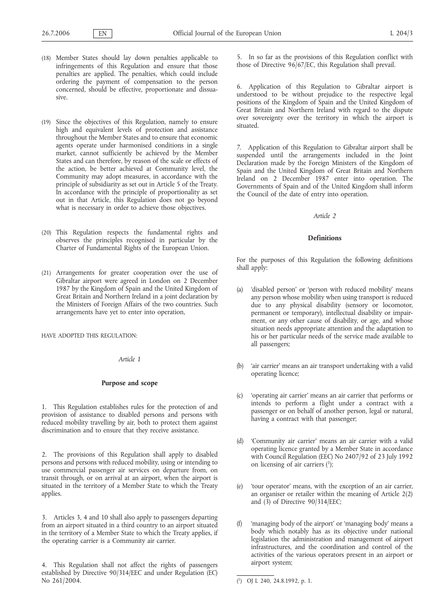- (18) Member States should lay down penalties applicable to infringements of this Regulation and ensure that those penalties are applied. The penalties, which could include ordering the payment of compensation to the person concerned, should be effective, proportionate and dissuasive.
- (19) Since the objectives of this Regulation, namely to ensure high and equivalent levels of protection and assistance throughout the Member States and to ensure that economic agents operate under harmonised conditions in a single market, cannot sufficiently be achieved by the Member States and can therefore, by reason of the scale or effects of the action, be better achieved at Community level, the Community may adopt measures, in accordance with the principle of subsidiarity as set out in Article 5 of the Treaty. In accordance with the principle of proportionality as set out in that Article, this Regulation does not go beyond what is necessary in order to achieve those objectives.
- (20) This Regulation respects the fundamental rights and observes the principles recognised in particular by the Charter of Fundamental Rights of the European Union.
- (21) Arrangements for greater cooperation over the use of Gibraltar airport were agreed in London on 2 December 1987 by the Kingdom of Spain and the United Kingdom of Great Britain and Northern Ireland in a joint declaration by the Ministers of Foreign Affairs of the two countries. Such arrangements have yet to enter into operation,

HAVE ADOPTED THIS REGULATION:

*Article 1*

#### **Purpose and scope**

1. This Regulation establishes rules for the protection of and provision of assistance to disabled persons and persons with reduced mobility travelling by air, both to protect them against discrimination and to ensure that they receive assistance.

2. The provisions of this Regulation shall apply to disabled persons and persons with reduced mobility, using or intending to use commercial passenger air services on departure from, on transit through, or on arrival at an airport, when the airport is situated in the territory of a Member State to which the Treaty applies.

3. Articles 3, 4 and 10 shall also apply to passengers departing from an airport situated in a third country to an airport situated in the territory of a Member State to which the Treaty applies, if the operating carrier is a Community air carrier.

4. This Regulation shall not affect the rights of passengers established by Directive 90/314/EEC and under Regulation (EC) No 261/2004.

5. In so far as the provisions of this Regulation conflict with those of Directive 96/67/EC, this Regulation shall prevail.

6. Application of this Regulation to Gibraltar airport is understood to be without prejudice to the respective legal positions of the Kingdom of Spain and the United Kingdom of Great Britain and Northern Ireland with regard to the dispute over sovereignty over the territory in which the airport is situated.

7. Application of this Regulation to Gibraltar airport shall be suspended until the arrangements included in the Joint Declaration made by the Foreign Ministers of the Kingdom of Spain and the United Kingdom of Great Britain and Northern Ireland on 2 December 1987 enter into operation. The Governments of Spain and of the United Kingdom shall inform the Council of the date of entry into operation.

#### *Article 2*

#### **Definitions**

For the purposes of this Regulation the following definitions shall apply:

- (a) 'disabled person' or 'person with reduced mobility' means any person whose mobility when using transport is reduced due to any physical disability (sensory or locomotor, permanent or temporary), intellectual disability or impairment, or any other cause of disability, or age, and whose situation needs appropriate attention and the adaptation to his or her particular needs of the service made available to all passengers;
- (b) 'air carrier' means an air transport undertaking with a valid operating licence;
- (c) 'operating air carrier' means an air carrier that performs or intends to perform a flight under a contract with a passenger or on behalf of another person, legal or natural, having a contract with that passenger;
- 'Community air carrier' means an air carrier with a valid operating licence granted by a Member State in accordance with Council Regulation (EEC) No 2407/92 of 23 July 1992 on licensing of air carriers  $(1)$ ;
- (e) 'tour operator' means, with the exception of an air carrier, an organiser or retailer within the meaning of Article 2(2) and (3) of Directive 90/314/EEC;
- (f) 'managing body of the airport' or 'managing body' means a body which notably has as its objective under national legislation the administration and management of airport infrastructures, and the coordination and control of the activities of the various operators present in an airport or airport system;

<sup>(</sup> 1) OJ L 240, 24.8.1992, p. 1.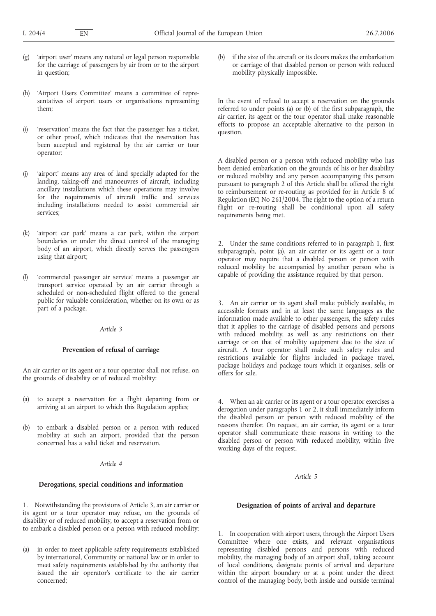- (g) 'airport user' means any natural or legal person responsible for the carriage of passengers by air from or to the airport in question;
- (h) 'Airport Users Committee' means a committee of representatives of airport users or organisations representing them;
- (i) 'reservation' means the fact that the passenger has a ticket, or other proof, which indicates that the reservation has been accepted and registered by the air carrier or tour operator;
- (j) 'airport' means any area of land specially adapted for the landing, taking-off and manoeuvres of aircraft, including ancillary installations which these operations may involve for the requirements of aircraft traffic and services including installations needed to assist commercial air services;
- (k) 'airport car park' means a car park, within the airport boundaries or under the direct control of the managing body of an airport, which directly serves the passengers using that airport;
- (l) 'commercial passenger air service' means a passenger air transport service operated by an air carrier through a scheduled or non-scheduled flight offered to the general public for valuable consideration, whether on its own or as part of a package.

#### *Article 3*

# **Prevention of refusal of carriage**

An air carrier or its agent or a tour operator shall not refuse, on the grounds of disability or of reduced mobility:

- (a) to accept a reservation for a flight departing from or arriving at an airport to which this Regulation applies;
- (b) to embark a disabled person or a person with reduced mobility at such an airport, provided that the person concerned has a valid ticket and reservation.

## *Article 4*

### **Derogations, special conditions and information**

1. Notwithstanding the provisions of Article 3, an air carrier or its agent or a tour operator may refuse, on the grounds of disability or of reduced mobility, to accept a reservation from or to embark a disabled person or a person with reduced mobility:

(a) in order to meet applicable safety requirements established by international, Community or national law or in order to meet safety requirements established by the authority that issued the air operator's certificate to the air carrier concerned;

(b) if the size of the aircraft or its doors makes the embarkation or carriage of that disabled person or person with reduced mobility physically impossible.

In the event of refusal to accept a reservation on the grounds referred to under points (a) or (b) of the first subparagraph, the air carrier, its agent or the tour operator shall make reasonable efforts to propose an acceptable alternative to the person in question.

A disabled person or a person with reduced mobility who has been denied embarkation on the grounds of his or her disability or reduced mobility and any person accompanying this person pursuant to paragraph 2 of this Article shall be offered the right to reimbursement or re-routing as provided for in Article 8 of Regulation (EC) No 261/2004. The right to the option of a return flight or re-routing shall be conditional upon all safety requirements being met.

2. Under the same conditions referred to in paragraph 1, first subparagraph, point (a), an air carrier or its agent or a tour operator may require that a disabled person or person with reduced mobility be accompanied by another person who is capable of providing the assistance required by that person.

3. An air carrier or its agent shall make publicly available, in accessible formats and in at least the same languages as the information made available to other passengers, the safety rules that it applies to the carriage of disabled persons and persons with reduced mobility, as well as any restrictions on their carriage or on that of mobility equipment due to the size of aircraft. A tour operator shall make such safety rules and restrictions available for flights included in package travel, package holidays and package tours which it organises, sells or offers for sale.

4. When an air carrier or its agent or a tour operator exercises a derogation under paragraphs 1 or 2, it shall immediately inform the disabled person or person with reduced mobility of the reasons therefor. On request, an air carrier, its agent or a tour operator shall communicate these reasons in writing to the disabled person or person with reduced mobility, within five working days of the request.

#### *Article 5*

## **Designation of points of arrival and departure**

1. In cooperation with airport users, through the Airport Users Committee where one exists, and relevant organisations representing disabled persons and persons with reduced mobility, the managing body of an airport shall, taking account of local conditions, designate points of arrival and departure within the airport boundary or at a point under the direct control of the managing body, both inside and outside terminal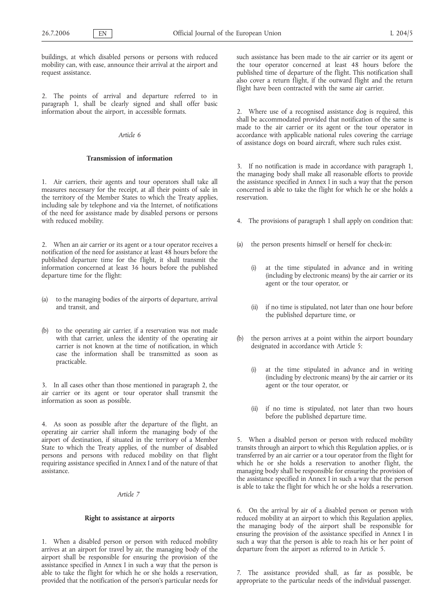buildings, at which disabled persons or persons with reduced mobility can, with ease, announce their arrival at the airport and request assistance.

2. The points of arrival and departure referred to in paragraph 1, shall be clearly signed and shall offer basic information about the airport, in accessible formats.

## *Article 6*

# **Transmission of information**

1. Air carriers, their agents and tour operators shall take all measures necessary for the receipt, at all their points of sale in the territory of the Member States to which the Treaty applies, including sale by telephone and via the Internet, of notifications of the need for assistance made by disabled persons or persons with reduced mobility.

2. When an air carrier or its agent or a tour operator receives a notification of the need for assistance at least 48 hours before the published departure time for the flight, it shall transmit the information concerned at least 36 hours before the published departure time for the flight:

- (a) to the managing bodies of the airports of departure, arrival and transit, and
- (b) to the operating air carrier, if a reservation was not made with that carrier, unless the identity of the operating air carrier is not known at the time of notification, in which case the information shall be transmitted as soon as practicable.

3. In all cases other than those mentioned in paragraph 2, the air carrier or its agent or tour operator shall transmit the information as soon as possible.

4. As soon as possible after the departure of the flight, an operating air carrier shall inform the managing body of the airport of destination, if situated in the territory of a Member State to which the Treaty applies, of the number of disabled persons and persons with reduced mobility on that flight requiring assistance specified in Annex I and of the nature of that assistance.

## *Article 7*

#### **Right to assistance at airports**

1. When a disabled person or person with reduced mobility arrives at an airport for travel by air, the managing body of the airport shall be responsible for ensuring the provision of the assistance specified in Annex I in such a way that the person is able to take the flight for which he or she holds a reservation, provided that the notification of the person's particular needs for such assistance has been made to the air carrier or its agent or the tour operator concerned at least 48 hours before the published time of departure of the flight. This notification shall also cover a return flight, if the outward flight and the return flight have been contracted with the same air carrier.

2. Where use of a recognised assistance dog is required, this shall be accommodated provided that notification of the same is made to the air carrier or its agent or the tour operator in accordance with applicable national rules covering the carriage of assistance dogs on board aircraft, where such rules exist.

3. If no notification is made in accordance with paragraph 1, the managing body shall make all reasonable efforts to provide the assistance specified in Annex I in such a way that the person concerned is able to take the flight for which he or she holds a reservation.

- 4. The provisions of paragraph 1 shall apply on condition that:
- the person presents himself or herself for check-in:
	- (i) at the time stipulated in advance and in writing (including by electronic means) by the air carrier or its agent or the tour operator, or
	- (ii) if no time is stipulated, not later than one hour before the published departure time, or
- the person arrives at a point within the airport boundary designated in accordance with Article 5:
	- (i) at the time stipulated in advance and in writing (including by electronic means) by the air carrier or its agent or the tour operator, or
	- (ii) if no time is stipulated, not later than two hours before the published departure time.

5. When a disabled person or person with reduced mobility transits through an airport to which this Regulation applies, or is transferred by an air carrier or a tour operator from the flight for which he or she holds a reservation to another flight, the managing body shall be responsible for ensuring the provision of the assistance specified in Annex I in such a way that the person is able to take the flight for which he or she holds a reservation.

6. On the arrival by air of a disabled person or person with reduced mobility at an airport to which this Regulation applies, the managing body of the airport shall be responsible for ensuring the provision of the assistance specified in Annex I in such a way that the person is able to reach his or her point of departure from the airport as referred to in Article 5.

7. The assistance provided shall, as far as possible, be appropriate to the particular needs of the individual passenger.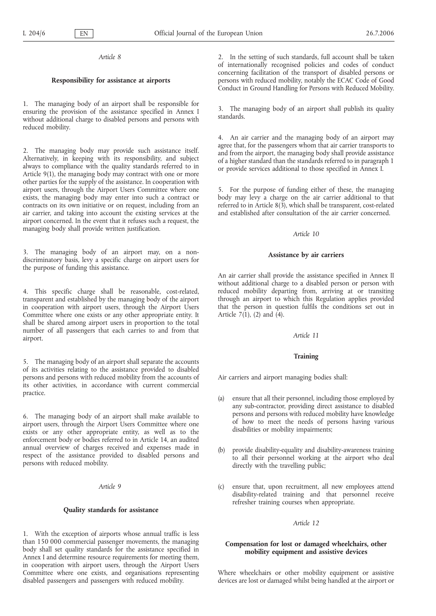*Article 8*

## **Responsibility for assistance at airports**

1. The managing body of an airport shall be responsible for ensuring the provision of the assistance specified in Annex I without additional charge to disabled persons and persons with reduced mobility.

2. The managing body may provide such assistance itself. Alternatively, in keeping with its responsibility, and subject always to compliance with the quality standards referred to in Article 9(1), the managing body may contract with one or more other parties for the supply of the assistance. In cooperation with airport users, through the Airport Users Committee where one exists, the managing body may enter into such a contract or contracts on its own initiative or on request, including from an air carrier, and taking into account the existing services at the airport concerned. In the event that it refuses such a request, the managing body shall provide written justification.

3. The managing body of an airport may, on a nondiscriminatory basis, levy a specific charge on airport users for the purpose of funding this assistance.

4. This specific charge shall be reasonable, cost-related, transparent and established by the managing body of the airport in cooperation with airport users, through the Airport Users Committee where one exists or any other appropriate entity. It shall be shared among airport users in proportion to the total number of all passengers that each carries to and from that airport.

5. The managing body of an airport shall separate the accounts of its activities relating to the assistance provided to disabled persons and persons with reduced mobility from the accounts of its other activities, in accordance with current commercial practice.

6. The managing body of an airport shall make available to airport users, through the Airport Users Committee where one exists or any other appropriate entity, as well as to the enforcement body or bodies referred to in Article 14, an audited annual overview of charges received and expenses made in respect of the assistance provided to disabled persons and persons with reduced mobility.

# *Article 9*

#### **Quality standards for assistance**

1. With the exception of airports whose annual traffic is less than 150 000 commercial passenger movements, the managing body shall set quality standards for the assistance specified in Annex I and determine resource requirements for meeting them, in cooperation with airport users, through the Airport Users Committee where one exists, and organisations representing disabled passengers and passengers with reduced mobility.

2. In the setting of such standards, full account shall be taken of internationally recognised policies and codes of conduct concerning facilitation of the transport of disabled persons or persons with reduced mobility, notably the ECAC Code of Good Conduct in Ground Handling for Persons with Reduced Mobility.

3. The managing body of an airport shall publish its quality standards.

4. An air carrier and the managing body of an airport may agree that, for the passengers whom that air carrier transports to and from the airport, the managing body shall provide assistance of a higher standard than the standards referred to in paragraph 1 or provide services additional to those specified in Annex I.

5. For the purpose of funding either of these, the managing body may levy a charge on the air carrier additional to that referred to in Article 8(3), which shall be transparent, cost-related and established after consultation of the air carrier concerned.

### *Article 10*

#### **Assistance by air carriers**

An air carrier shall provide the assistance specified in Annex II without additional charge to a disabled person or person with reduced mobility departing from, arriving at or transiting through an airport to which this Regulation applies provided that the person in question fulfils the conditions set out in Article  $7(1)$ , (2) and (4).

## *Article 11*

#### **Training**

Air carriers and airport managing bodies shall:

- (a) ensure that all their personnel, including those employed by any sub-contractor, providing direct assistance to disabled persons and persons with reduced mobility have knowledge of how to meet the needs of persons having various disabilities or mobility impairments;
- (b) provide disability-equality and disability-awareness training to all their personnel working at the airport who deal directly with the travelling public;
- (c) ensure that, upon recruitment, all new employees attend disability‑related training and that personnel receive refresher training courses when appropriate.

#### *Article 12*

## **Compensation for lost or damaged wheelchairs, other mobility equipment and assistive devices**

Where wheelchairs or other mobility equipment or assistive devices are lost or damaged whilst being handled at the airport or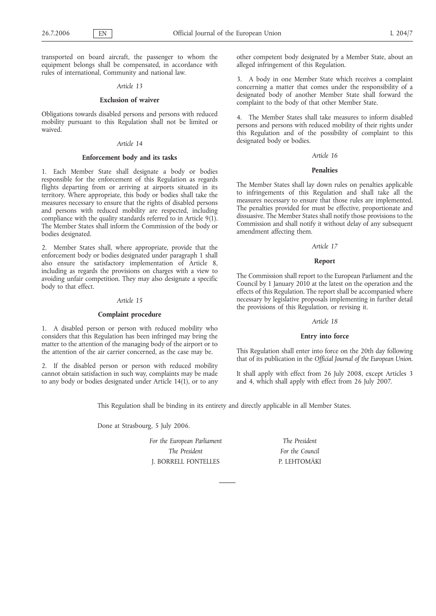transported on board aircraft, the passenger to whom the equipment belongs shall be compensated, in accordance with rules of international, Community and national law.

#### *Article 13*

## **Exclusion of waiver**

Obligations towards disabled persons and persons with reduced mobility pursuant to this Regulation shall not be limited or waived.

#### *Article 14*

# **Enforcement body and its tasks**

1. Each Member State shall designate a body or bodies responsible for the enforcement of this Regulation as regards flights departing from or arriving at airports situated in its territory. Where appropriate, this body or bodies shall take the measures necessary to ensure that the rights of disabled persons and persons with reduced mobility are respected, including compliance with the quality standards referred to in Article 9(1). The Member States shall inform the Commission of the body or bodies designated.

2. Member States shall, where appropriate, provide that the enforcement body or bodies designated under paragraph 1 shall also ensure the satisfactory implementation of Article 8, including as regards the provisions on charges with a view to avoiding unfair competition. They may also designate a specific body to that effect.

#### *Article 15*

## **Complaint procedure**

1. A disabled person or person with reduced mobility who considers that this Regulation has been infringed may bring the matter to the attention of the managing body of the airport or to the attention of the air carrier concerned, as the case may be.

2. If the disabled person or person with reduced mobility cannot obtain satisfaction in such way, complaints may be made to any body or bodies designated under Article 14(1), or to any other competent body designated by a Member State, about an alleged infringement of this Regulation.

3. A body in one Member State which receives a complaint concerning a matter that comes under the responsibility of a designated body of another Member State shall forward the complaint to the body of that other Member State.

4. The Member States shall take measures to inform disabled persons and persons with reduced mobility of their rights under this Regulation and of the possibility of complaint to this designated body or bodies.

# *Article 16*

## **Penalties**

The Member States shall lay down rules on penalties applicable to infringements of this Regulation and shall take all the measures necessary to ensure that those rules are implemented. The penalties provided for must be effective, proportionate and dissuasive. The Member States shall notify those provisions to the Commission and shall notify it without delay of any subsequent amendment affecting them.

#### *Article 17*

#### **Report**

The Commission shall report to the European Parliament and the Council by 1 January 2010 at the latest on the operation and the effects of this Regulation. The report shall be accompanied where necessary by legislative proposals implementing in further detail the provisions of this Regulation, or revising it.

#### *Article 18*

#### **Entry into force**

This Regulation shall enter into force on the 20th day following that of its publication in the *Official Journal of the European Union.*

It shall apply with effect from 26 July 2008, except Articles 3 and 4, which shall apply with effect from 26 July 2007.

This Regulation shall be binding in its entirety and directly applicable in all Member States.

Done at Strasbourg, 5 July 2006.

*For the European Parliament The President* J. BORRELL FONTELLES

*The President For the Council* P. LEHTOMÄKI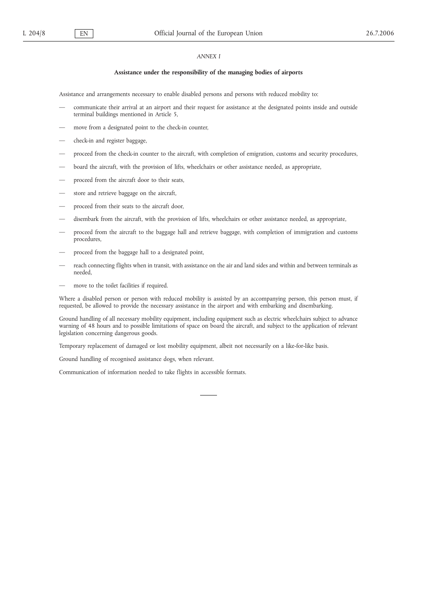#### *ANNEX I*

#### **Assistance under the responsibility of the managing bodies of airports**

Assistance and arrangements necessary to enable disabled persons and persons with reduced mobility to:

- communicate their arrival at an airport and their request for assistance at the designated points inside and outside terminal buildings mentioned in Article 5,
- move from a designated point to the check-in counter,
- check-in and register baggage,
- proceed from the check-in counter to the aircraft, with completion of emigration, customs and security procedures,
- board the aircraft, with the provision of lifts, wheelchairs or other assistance needed, as appropriate,
- proceed from the aircraft door to their seats,
- store and retrieve baggage on the aircraft,
- proceed from their seats to the aircraft door,
- disembark from the aircraft, with the provision of lifts, wheelchairs or other assistance needed, as appropriate,
- proceed from the aircraft to the baggage hall and retrieve baggage, with completion of immigration and customs procedures,
- proceed from the baggage hall to a designated point,
- reach connecting flights when in transit, with assistance on the air and land sides and within and between terminals as needed,
- move to the toilet facilities if required.

Where a disabled person or person with reduced mobility is assisted by an accompanying person, this person must, if requested, be allowed to provide the necessary assistance in the airport and with embarking and disembarking.

Ground handling of all necessary mobility equipment, including equipment such as electric wheelchairs subject to advance warning of 48 hours and to possible limitations of space on board the aircraft, and subject to the application of relevant legislation concerning dangerous goods.

Temporary replacement of damaged or lost mobility equipment, albeit not necessarily on a like-for-like basis.

Ground handling of recognised assistance dogs, when relevant.

Communication of information needed to take flights in accessible formats.